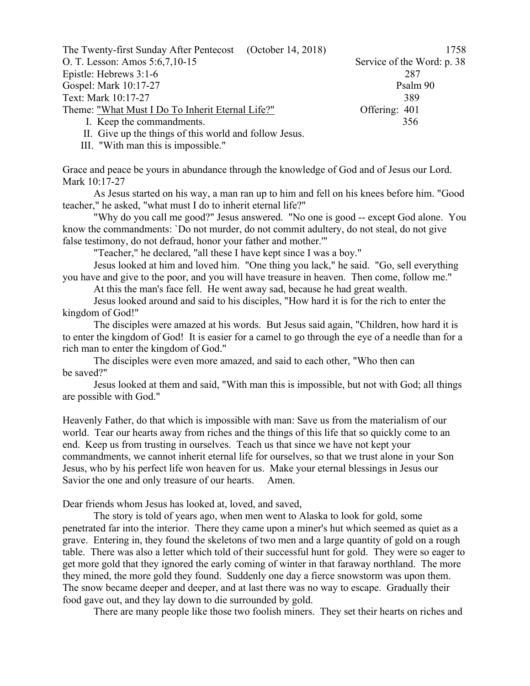| The Twenty-first Sunday After Pentecost (October 14, 2018)                                                                                                  | 1758                       |
|-------------------------------------------------------------------------------------------------------------------------------------------------------------|----------------------------|
| O. T. Lesson: Amos 5:6,7,10-15                                                                                                                              | Service of the Word: p. 38 |
| Epistle: Hebrews $3:1-6$                                                                                                                                    | 287                        |
| Gospel: Mark 10:17-27                                                                                                                                       | Psalm 90                   |
| Text: Mark 10:17-27                                                                                                                                         | 389                        |
| Theme: "What Must I Do To Inherit Eternal Life?"                                                                                                            | Offering: 401              |
| I. Keep the commandments.                                                                                                                                   | 356                        |
| $\mathbf{H} = \mathbf{C}^*$ and $\mathbf{H} = \mathbf{C}^*$ and $\mathbf{C} = \mathbf{C}^*$ and $\mathbf{H} = \mathbf{C}^*$ and $\mathbf{H} = \mathbf{C}^*$ |                            |

II. Give up the things of this world and follow Jesus.

III. "With man this is impossible."

Grace and peace be yours in abundance through the knowledge of God and of Jesus our Lord. Mark 10:17-27

As Jesus started on his way, a man ran up to him and fell on his knees before him. "Good teacher," he asked, "what must I do to inherit eternal life?"

"Why do you call me good?" Jesus answered. "No one is good -- except God alone. You know the commandments: `Do not murder, do not commit adultery, do not steal, do not give false testimony, do not defraud, honor your father and mother.'"

"Teacher," he declared, "all these I have kept since I was a boy."

Jesus looked at him and loved him. "One thing you lack," he said. "Go, sell everything you have and give to the poor, and you will have treasure in heaven. Then come, follow me."

At this the man's face fell. He went away sad, because he had great wealth.

Jesus looked around and said to his disciples, "How hard it is for the rich to enter the kingdom of God!"

The disciples were amazed at his words. But Jesus said again, "Children, how hard it is to enter the kingdom of God! It is easier for a camel to go through the eye of a needle than for a rich man to enter the kingdom of God."

The disciples were even more amazed, and said to each other, "Who then can be saved?"

Jesus looked at them and said, "With man this is impossible, but not with God; all things are possible with God."

Heavenly Father, do that which is impossible with man: Save us from the materialism of our world. Tear our hearts away from riches and the things of this life that so quickly come to an end. Keep us from trusting in ourselves. Teach us that since we have not kept your commandments, we cannot inherit eternal life for ourselves, so that we trust alone in your Son Jesus, who by his perfect life won heaven for us. Make your eternal blessings in Jesus our Savior the one and only treasure of our hearts. Amen.

Dear friends whom Jesus has looked at, loved, and saved,

The story is told of years ago, when men went to Alaska to look for gold, some penetrated far into the interior. There they came upon a miner's hut which seemed as quiet as a grave. Entering in, they found the skeletons of two men and a large quantity of gold on a rough table. There was also a letter which told of their successful hunt for gold. They were so eager to get more gold that they ignored the early coming of winter in that faraway northland. The more they mined, the more gold they found. Suddenly one day a fierce snowstorm was upon them. The snow became deeper and deeper, and at last there was no way to escape. Gradually their food gave out, and they lay down to die surrounded by gold.

There are many people like those two foolish miners. They set their hearts on riches and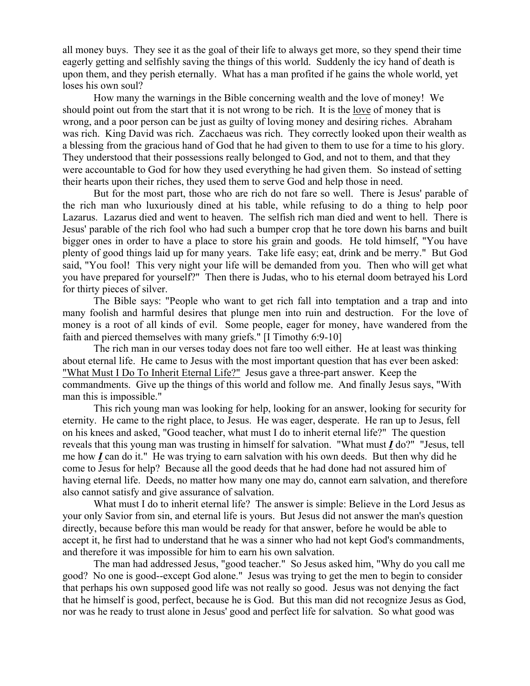all money buys. They see it as the goal of their life to always get more, so they spend their time eagerly getting and selfishly saving the things of this world. Suddenly the icy hand of death is upon them, and they perish eternally. What has a man profited if he gains the whole world, yet loses his own soul?

How many the warnings in the Bible concerning wealth and the love of money! We should point out from the start that it is not wrong to be rich. It is the love of money that is wrong, and a poor person can be just as guilty of loving money and desiring riches. Abraham was rich. King David was rich. Zacchaeus was rich. They correctly looked upon their wealth as a blessing from the gracious hand of God that he had given to them to use for a time to his glory. They understood that their possessions really belonged to God, and not to them, and that they were accountable to God for how they used everything he had given them. So instead of setting their hearts upon their riches, they used them to serve God and help those in need.

But for the most part, those who are rich do not fare so well. There is Jesus' parable of the rich man who luxuriously dined at his table, while refusing to do a thing to help poor Lazarus. Lazarus died and went to heaven. The selfish rich man died and went to hell. There is Jesus' parable of the rich fool who had such a bumper crop that he tore down his barns and built bigger ones in order to have a place to store his grain and goods. He told himself, "You have plenty of good things laid up for many years. Take life easy; eat, drink and be merry." But God said, "You fool! This very night your life will be demanded from you. Then who will get what you have prepared for yourself?" Then there is Judas, who to his eternal doom betrayed his Lord for thirty pieces of silver.

The Bible says: "People who want to get rich fall into temptation and a trap and into many foolish and harmful desires that plunge men into ruin and destruction. For the love of money is a root of all kinds of evil. Some people, eager for money, have wandered from the faith and pierced themselves with many griefs." [I Timothy 6:9-10]

The rich man in our verses today does not fare too well either. He at least was thinking about eternal life. He came to Jesus with the most important question that has ever been asked: "What Must I Do To Inherit Eternal Life?" Jesus gave a three-part answer. Keep the commandments. Give up the things of this world and follow me. And finally Jesus says, "With man this is impossible."

This rich young man was looking for help, looking for an answer, looking for security for eternity. He came to the right place, to Jesus. He was eager, desperate. He ran up to Jesus, fell on his knees and asked, "Good teacher, what must I do to inherit eternal life?" The question reveals that this young man was trusting in himself for salvation. "What must *I* do?" "Jesus, tell me how *I* can do it." He was trying to earn salvation with his own deeds. But then why did he come to Jesus for help? Because all the good deeds that he had done had not assured him of having eternal life. Deeds, no matter how many one may do, cannot earn salvation, and therefore also cannot satisfy and give assurance of salvation.

What must I do to inherit eternal life? The answer is simple: Believe in the Lord Jesus as your only Savior from sin, and eternal life is yours. But Jesus did not answer the man's question directly, because before this man would be ready for that answer, before he would be able to accept it, he first had to understand that he was a sinner who had not kept God's commandments, and therefore it was impossible for him to earn his own salvation.

The man had addressed Jesus, "good teacher." So Jesus asked him, "Why do you call me good? No one is good--except God alone." Jesus was trying to get the men to begin to consider that perhaps his own supposed good life was not really so good. Jesus was not denying the fact that he himself is good, perfect, because he is God. But this man did not recognize Jesus as God, nor was he ready to trust alone in Jesus' good and perfect life for salvation. So what good was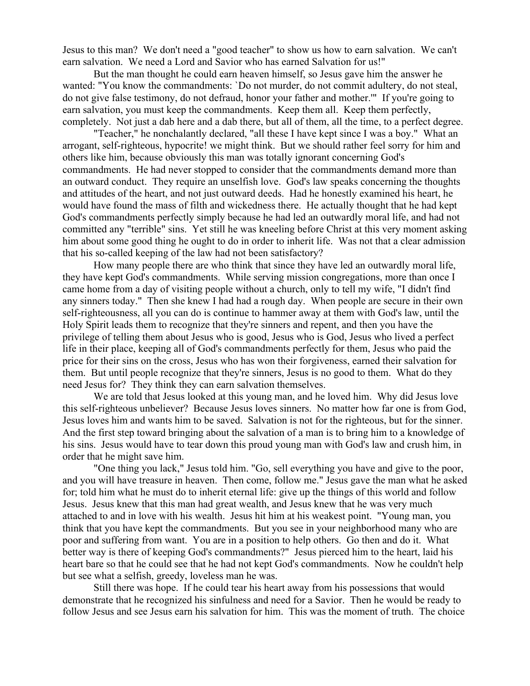Jesus to this man? We don't need a "good teacher" to show us how to earn salvation. We can't earn salvation. We need a Lord and Savior who has earned Salvation for us!"

But the man thought he could earn heaven himself, so Jesus gave him the answer he wanted: "You know the commandments: `Do not murder, do not commit adultery, do not steal, do not give false testimony, do not defraud, honor your father and mother.'" If you're going to earn salvation, you must keep the commandments. Keep them all. Keep them perfectly, completely. Not just a dab here and a dab there, but all of them, all the time, to a perfect degree.

"Teacher," he nonchalantly declared, "all these I have kept since I was a boy." What an arrogant, self-righteous, hypocrite! we might think. But we should rather feel sorry for him and others like him, because obviously this man was totally ignorant concerning God's commandments. He had never stopped to consider that the commandments demand more than an outward conduct. They require an unselfish love. God's law speaks concerning the thoughts and attitudes of the heart, and not just outward deeds. Had he honestly examined his heart, he would have found the mass of filth and wickedness there. He actually thought that he had kept God's commandments perfectly simply because he had led an outwardly moral life, and had not committed any "terrible" sins. Yet still he was kneeling before Christ at this very moment asking him about some good thing he ought to do in order to inherit life. Was not that a clear admission that his so-called keeping of the law had not been satisfactory?

How many people there are who think that since they have led an outwardly moral life, they have kept God's commandments. While serving mission congregations, more than once I came home from a day of visiting people without a church, only to tell my wife, "I didn't find any sinners today." Then she knew I had had a rough day. When people are secure in their own self-righteousness, all you can do is continue to hammer away at them with God's law, until the Holy Spirit leads them to recognize that they're sinners and repent, and then you have the privilege of telling them about Jesus who is good, Jesus who is God, Jesus who lived a perfect life in their place, keeping all of God's commandments perfectly for them, Jesus who paid the price for their sins on the cross, Jesus who has won their forgiveness, earned their salvation for them. But until people recognize that they're sinners, Jesus is no good to them. What do they need Jesus for? They think they can earn salvation themselves.

We are told that Jesus looked at this young man, and he loved him. Why did Jesus love this self-righteous unbeliever? Because Jesus loves sinners. No matter how far one is from God, Jesus loves him and wants him to be saved. Salvation is not for the righteous, but for the sinner. And the first step toward bringing about the salvation of a man is to bring him to a knowledge of his sins. Jesus would have to tear down this proud young man with God's law and crush him, in order that he might save him.

"One thing you lack," Jesus told him. "Go, sell everything you have and give to the poor, and you will have treasure in heaven. Then come, follow me." Jesus gave the man what he asked for; told him what he must do to inherit eternal life: give up the things of this world and follow Jesus. Jesus knew that this man had great wealth, and Jesus knew that he was very much attached to and in love with his wealth. Jesus hit him at his weakest point. "Young man, you think that you have kept the commandments. But you see in your neighborhood many who are poor and suffering from want. You are in a position to help others. Go then and do it. What better way is there of keeping God's commandments?" Jesus pierced him to the heart, laid his heart bare so that he could see that he had not kept God's commandments. Now he couldn't help but see what a selfish, greedy, loveless man he was.

Still there was hope. If he could tear his heart away from his possessions that would demonstrate that he recognized his sinfulness and need for a Savior. Then he would be ready to follow Jesus and see Jesus earn his salvation for him. This was the moment of truth. The choice